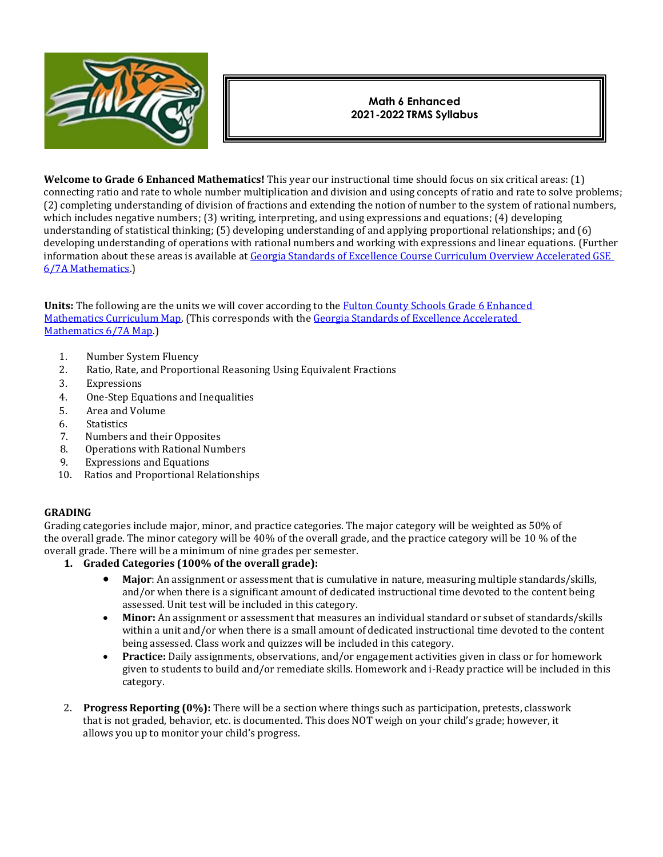

# **Math 6 Enhanced 2021-2022 TRMS Syllabus**

**Welcome to Grade 6 Enhanced Mathematics!** This year our instructional time should focus on six critical areas: (1) connecting ratio and rate to whole number multiplication and division and using concepts of ratio and rate to solve problems; (2) completing understanding of division of fractions and extending the notion of number to the system of rational numbers, which includes negative numbers; (3) writing, interpreting, and using expressions and equations; (4) developing understanding of statistical thinking; (5) developing understanding of and applying proportional relationships; and (6) developing understanding of operations with rational numbers and working with expressions and linear equations. (Further information about these areas is available at Georgia Standards of Excellence Course Curriculum Overview Accelerated GSE [6/7A Mathematics.\)](https://www.fultonschools.org/cms/lib/GA50000114/Centricity/Domain/1349/6-7A-Math-Comprehensive-Course-overview.pdf)

**Units:** The following are the units we will cover according to the [Fulton County Schools Grade 6 Enhanced](https://www.fultonschools.org/cms/lib/GA50000114/Centricity/Domain/1349/6-7A-Math-Curriculum-Map.pdf)  [Mathematics Curriculum Map.](https://www.fultonschools.org/cms/lib/GA50000114/Centricity/Domain/1349/6-7A-Math-Curriculum-Map.pdf) (This corresponds with th[e Georgia Standards of Excellence Accelerated](https://www.georgiastandards.org/Georgia-Standards/Frameworks/6-7A-Math-Curriculum-Map.pdf)  [Mathematics 6/7A Map.](https://www.georgiastandards.org/Georgia-Standards/Frameworks/6-7A-Math-Curriculum-Map.pdf))

- 1. Number System Fluency
- 2. Ratio, Rate, and Proportional Reasoning Using Equivalent Fractions
- 3. Expressions
- 4. One-Step Equations and Inequalities
- 5. Area and Volume
- 6. Statistics
- 7. Numbers and their Opposites
- 8. Operations with Rational Numbers
- 9. Expressions and Equations
- 10. Ratios and Proportional Relationships

## **GRADING**

Grading categories include major, minor, and practice categories. The major category will be weighted as 50% of the overall grade. The minor category will be 40% of the overall grade, and the practice category will be 10 % of the overall grade. There will be a minimum of nine grades per semester.

- **1. Graded Categories (100% of the overall grade):**
	- **Major**: An assignment or assessment that is cumulative in nature, measuring multiple standards/skills, and/or when there is a significant amount of dedicated instructional time devoted to the content being assessed. Unit test will be included in this category.
	- Minor: An assignment or assessment that measures an individual standard or subset of standards/skills within a unit and/or when there is a small amount of dedicated instructional time devoted to the content being assessed. Class work and quizzes will be included in this category.
	- **Practice:** Daily assignments, observations, and/or engagement activities given in class or for homework given to students to build and/or remediate skills. Homework and i-Ready practice will be included in this category.
- 2. **Progress Reporting (0%):** There will be a section where things such as participation, pretests, classwork that is not graded, behavior, etc. is documented. This does NOT weigh on your child's grade; however, it allows you up to monitor your child's progress.